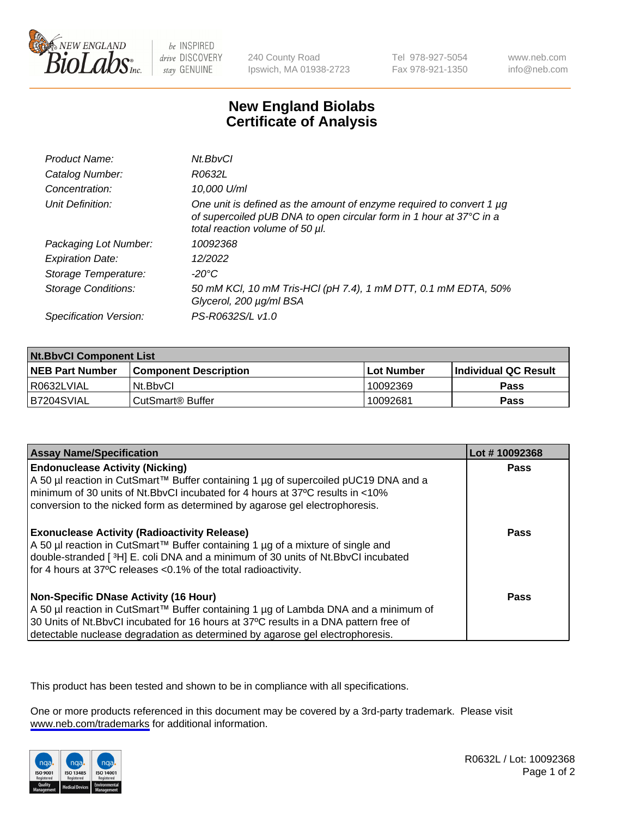

be INSPIRED drive DISCOVERY stay GENUINE

240 County Road Ipswich, MA 01938-2723 Tel 978-927-5054 Fax 978-921-1350

www.neb.com info@neb.com

## **New England Biolabs Certificate of Analysis**

| Product Name:              | Nt.BbvCl                                                                                                                                                                            |
|----------------------------|-------------------------------------------------------------------------------------------------------------------------------------------------------------------------------------|
| Catalog Number:            | R0632L                                                                                                                                                                              |
| Concentration:             | 10,000 U/ml                                                                                                                                                                         |
| Unit Definition:           | One unit is defined as the amount of enzyme required to convert 1 $\mu$ g<br>of supercoiled pUB DNA to open circular form in 1 hour at 37°C in a<br>total reaction volume of 50 µl. |
| Packaging Lot Number:      | 10092368                                                                                                                                                                            |
| <b>Expiration Date:</b>    | 12/2022                                                                                                                                                                             |
| Storage Temperature:       | -20°C                                                                                                                                                                               |
| <b>Storage Conditions:</b> | 50 mM KCl, 10 mM Tris-HCl (pH 7.4), 1 mM DTT, 0.1 mM EDTA, 50%<br>Glycerol, 200 µg/ml BSA                                                                                           |
| Specification Version:     | PS-R0632S/L v1.0                                                                                                                                                                    |

| <b>Nt.BbvCl Component List</b> |                         |              |                             |  |
|--------------------------------|-------------------------|--------------|-----------------------------|--|
| <b>NEB Part Number</b>         | l Component Description | l Lot Number | <b>Individual QC Result</b> |  |
| I R0632LVIAL                   | Nt.BbvCl                | 10092369     | <b>Pass</b>                 |  |
| IB7204SVIAL                    | l CutSmart® Buffer      | 10092681     | <b>Pass</b>                 |  |

| <b>Assay Name/Specification</b>                                                                                                                                                                                                                                                                         | Lot #10092368 |
|---------------------------------------------------------------------------------------------------------------------------------------------------------------------------------------------------------------------------------------------------------------------------------------------------------|---------------|
| <b>Endonuclease Activity (Nicking)</b><br>A 50 µl reaction in CutSmart™ Buffer containing 1 µg of supercoiled pUC19 DNA and a<br>minimum of 30 units of Nt.BbvCI incubated for 4 hours at 37°C results in <10%<br>conversion to the nicked form as determined by agarose gel electrophoresis.           | <b>Pass</b>   |
| <b>Exonuclease Activity (Radioactivity Release)</b><br>A 50 µl reaction in CutSmart™ Buffer containing 1 µg of a mixture of single and<br>double-stranded [3H] E. coli DNA and a minimum of 30 units of Nt.BbvCl incubated<br>for 4 hours at 37°C releases <0.1% of the total radioactivity.            | Pass          |
| Non-Specific DNase Activity (16 Hour)<br>  A 50 µl reaction in CutSmart™ Buffer containing 1 µg of Lambda DNA and a minimum of<br>30 Units of Nt.BbvCl incubated for 16 hours at 37°C results in a DNA pattern free of<br>detectable nuclease degradation as determined by agarose gel electrophoresis. | Pass          |

This product has been tested and shown to be in compliance with all specifications.

One or more products referenced in this document may be covered by a 3rd-party trademark. Please visit <www.neb.com/trademarks>for additional information.